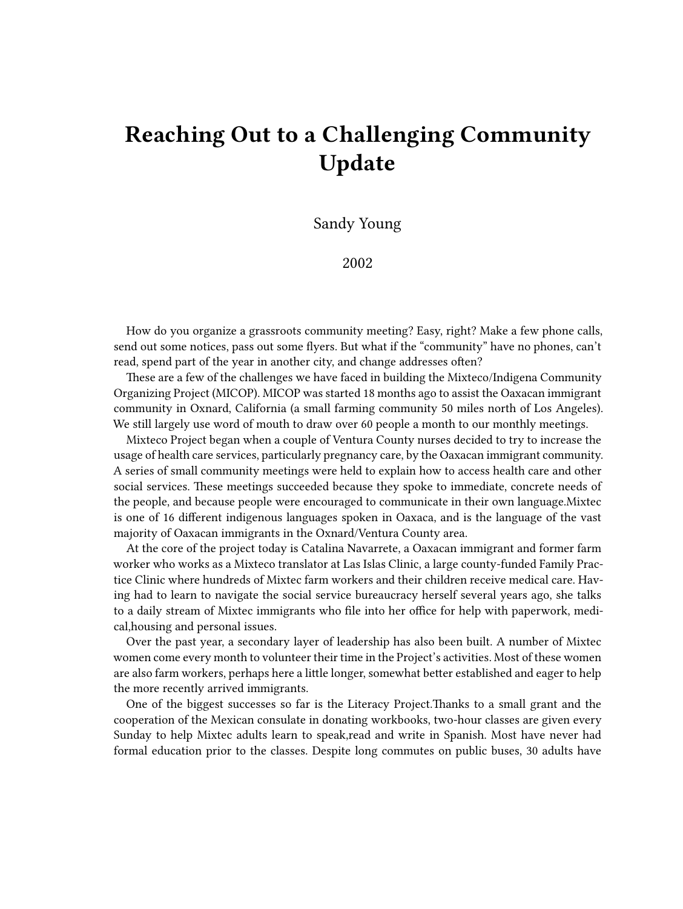## **Reaching Out to a Challenging Community Update**

Sandy Young

2002

How do you organize a grassroots community meeting? Easy, right? Make a few phone calls, send out some notices, pass out some flyers. But what if the "community" have no phones, can't read, spend part of the year in another city, and change addresses often?

These are a few of the challenges we have faced in building the Mixteco/Indigena Community Organizing Project (MICOP). MICOP was started 18 months ago to assist the Oaxacan immigrant community in Oxnard, California (a small farming community 50 miles north of Los Angeles). We still largely use word of mouth to draw over 60 people a month to our monthly meetings.

Mixteco Project began when a couple of Ventura County nurses decided to try to increase the usage of health care services, particularly pregnancy care, by the Oaxacan immigrant community. A series of small community meetings were held to explain how to access health care and other social services. These meetings succeeded because they spoke to immediate, concrete needs of the people, and because people were encouraged to communicate in their own language.Mixtec is one of 16 different indigenous languages spoken in Oaxaca, and is the language of the vast majority of Oaxacan immigrants in the Oxnard/Ventura County area.

At the core of the project today is Catalina Navarrete, a Oaxacan immigrant and former farm worker who works as a Mixteco translator at Las Islas Clinic, a large county-funded Family Practice Clinic where hundreds of Mixtec farm workers and their children receive medical care. Having had to learn to navigate the social service bureaucracy herself several years ago, she talks to a daily stream of Mixtec immigrants who file into her office for help with paperwork, medical,housing and personal issues.

Over the past year, a secondary layer of leadership has also been built. A number of Mixtec women come every month to volunteer their time in the Project's activities. Most of these women are also farm workers, perhaps here a little longer, somewhat better established and eager to help the more recently arrived immigrants.

One of the biggest successes so far is the Literacy Project.Thanks to a small grant and the cooperation of the Mexican consulate in donating workbooks, two-hour classes are given every Sunday to help Mixtec adults learn to speak,read and write in Spanish. Most have never had formal education prior to the classes. Despite long commutes on public buses, 30 adults have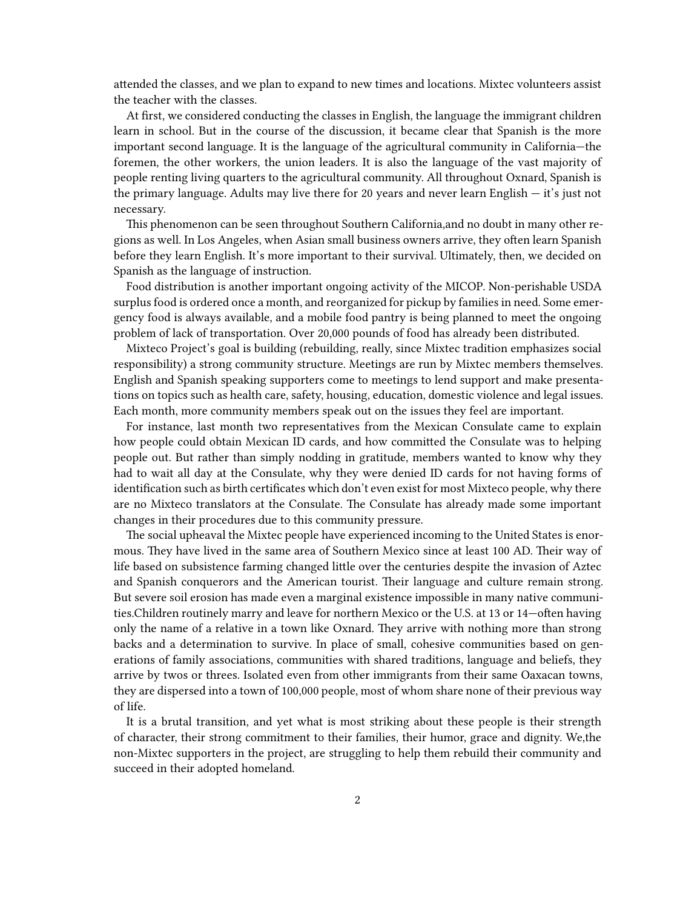attended the classes, and we plan to expand to new times and locations. Mixtec volunteers assist the teacher with the classes.

At first, we considered conducting the classes in English, the language the immigrant children learn in school. But in the course of the discussion, it became clear that Spanish is the more important second language. It is the language of the agricultural community in California—the foremen, the other workers, the union leaders. It is also the language of the vast majority of people renting living quarters to the agricultural community. All throughout Oxnard, Spanish is the primary language. Adults may live there for 20 years and never learn English — it's just not necessary.

This phenomenon can be seen throughout Southern California,and no doubt in many other regions as well. In Los Angeles, when Asian small business owners arrive, they often learn Spanish before they learn English. It's more important to their survival. Ultimately, then, we decided on Spanish as the language of instruction.

Food distribution is another important ongoing activity of the MICOP. Non-perishable USDA surplus food is ordered once a month, and reorganized for pickup by families in need. Some emergency food is always available, and a mobile food pantry is being planned to meet the ongoing problem of lack of transportation. Over 20,000 pounds of food has already been distributed.

Mixteco Project's goal is building (rebuilding, really, since Mixtec tradition emphasizes social responsibility) a strong community structure. Meetings are run by Mixtec members themselves. English and Spanish speaking supporters come to meetings to lend support and make presentations on topics such as health care, safety, housing, education, domestic violence and legal issues. Each month, more community members speak out on the issues they feel are important.

For instance, last month two representatives from the Mexican Consulate came to explain how people could obtain Mexican ID cards, and how committed the Consulate was to helping people out. But rather than simply nodding in gratitude, members wanted to know why they had to wait all day at the Consulate, why they were denied ID cards for not having forms of identification such as birth certificates which don't even exist for most Mixteco people, why there are no Mixteco translators at the Consulate. The Consulate has already made some important changes in their procedures due to this community pressure.

The social upheaval the Mixtec people have experienced incoming to the United States is enormous. They have lived in the same area of Southern Mexico since at least 100 AD. Their way of life based on subsistence farming changed little over the centuries despite the invasion of Aztec and Spanish conquerors and the American tourist. Their language and culture remain strong. But severe soil erosion has made even a marginal existence impossible in many native communities.Children routinely marry and leave for northern Mexico or the U.S. at 13 or 14—often having only the name of a relative in a town like Oxnard. They arrive with nothing more than strong backs and a determination to survive. In place of small, cohesive communities based on generations of family associations, communities with shared traditions, language and beliefs, they arrive by twos or threes. Isolated even from other immigrants from their same Oaxacan towns, they are dispersed into a town of 100,000 people, most of whom share none of their previous way of life.

It is a brutal transition, and yet what is most striking about these people is their strength of character, their strong commitment to their families, their humor, grace and dignity. We,the non-Mixtec supporters in the project, are struggling to help them rebuild their community and succeed in their adopted homeland.